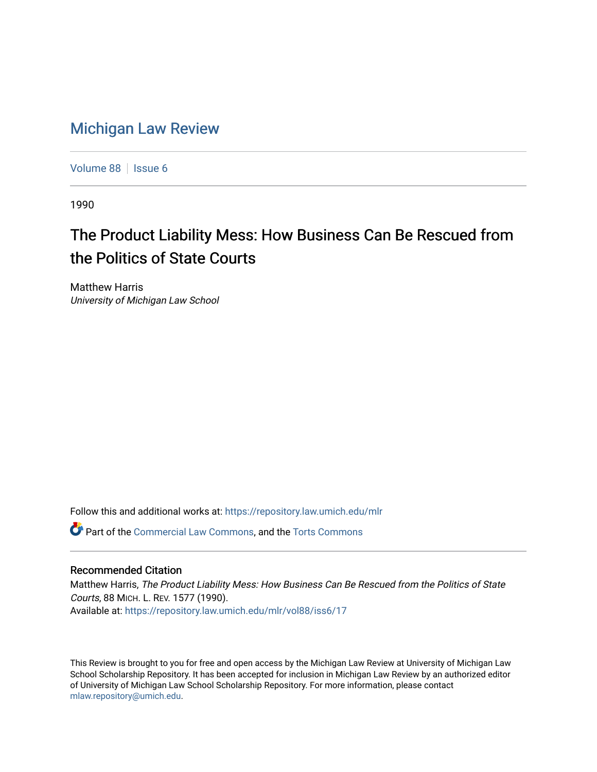## [Michigan Law Review](https://repository.law.umich.edu/mlr)

[Volume 88](https://repository.law.umich.edu/mlr/vol88) | [Issue 6](https://repository.law.umich.edu/mlr/vol88/iss6)

1990

## The Product Liability Mess: How Business Can Be Rescued from the Politics of State Courts

Matthew Harris University of Michigan Law School

Follow this and additional works at: [https://repository.law.umich.edu/mlr](https://repository.law.umich.edu/mlr?utm_source=repository.law.umich.edu%2Fmlr%2Fvol88%2Fiss6%2F17&utm_medium=PDF&utm_campaign=PDFCoverPages) 

Part of the [Commercial Law Commons](http://network.bepress.com/hgg/discipline/586?utm_source=repository.law.umich.edu%2Fmlr%2Fvol88%2Fiss6%2F17&utm_medium=PDF&utm_campaign=PDFCoverPages), and the [Torts Commons](http://network.bepress.com/hgg/discipline/913?utm_source=repository.law.umich.edu%2Fmlr%2Fvol88%2Fiss6%2F17&utm_medium=PDF&utm_campaign=PDFCoverPages)

## Recommended Citation

Matthew Harris, The Product Liability Mess: How Business Can Be Rescued from the Politics of State Courts, 88 MICH. L. REV. 1577 (1990). Available at: [https://repository.law.umich.edu/mlr/vol88/iss6/17](https://repository.law.umich.edu/mlr/vol88/iss6/17?utm_source=repository.law.umich.edu%2Fmlr%2Fvol88%2Fiss6%2F17&utm_medium=PDF&utm_campaign=PDFCoverPages) 

This Review is brought to you for free and open access by the Michigan Law Review at University of Michigan Law School Scholarship Repository. It has been accepted for inclusion in Michigan Law Review by an authorized editor of University of Michigan Law School Scholarship Repository. For more information, please contact [mlaw.repository@umich.edu.](mailto:mlaw.repository@umich.edu)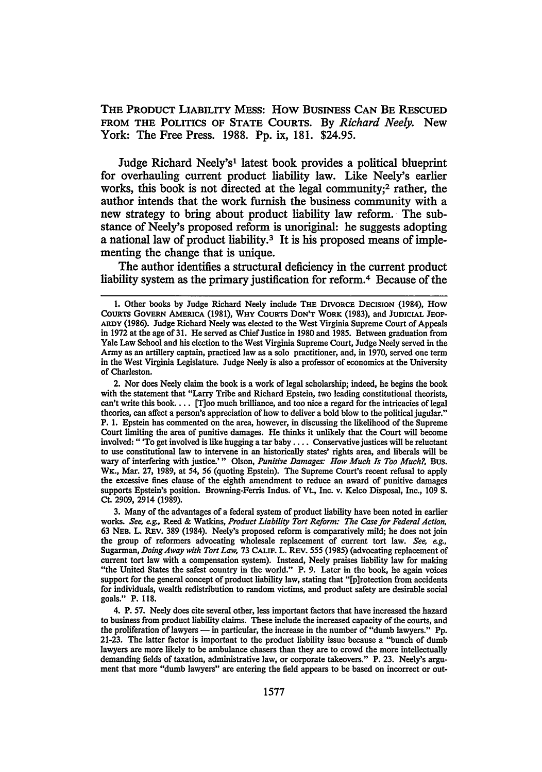THE PRODUCT LIABILITY MEss: How BUSINESS CAN BE REsCUED FROM THE POLITICS OF STATE COURTS. By *Richard Neely*. New York: The Free Press. 1988. Pp. ix, 181. \$24.95.

Judge Richard Neely's1 latest book provides a political blueprint for overhauling current product liability law. Like Neely's earlier works, this book is not directed at the legal community;<sup>2</sup> rather, the author intends that the work furnish the business community with a new strategy to bring about product liability law reform. The substance of Neely's proposed reform is unoriginal: he suggests adopting a national law of product liability.<sup>3</sup> It is his proposed means of implementing the change that is unique.

The author identifies a structural deficiency in the current product liability system as the primary justification for reform.<sup>4</sup> Because of the

2. Nor does Neely claim the book is a work of legal scholarship; indeed, he begins the book with the statement that "Larry Tribe and Richard Epstein, two leading constitutional theorists, can't write this book. . . . [T]oo much brilliance, and too nice a regard for the intricacies oflegal theories, can affect a person's appreciation of how to deliver a bold blow to the political jugular." P. 1. Epstein has commented on the area, however, in discussing the likelihood of the Supreme Court limiting the area of punitive damages. He thinks it unlikely that the Court will become involved: " 'To get involved is like hugging a tar baby • . . • Conservative justices will be reluctant to use constitutional law to intervene in an historically states' rights area, and liberals will be wary of interfering with justice.' " Olson, *Punitive Damages: How Much Is Too Much?*, Bus. WK., Mar. 27, 1989, at 54, 56 (quoting Epstein). The Supreme Court's recent refusal to apply the excessive fines clause of the eighth amendment to reduce an award of punitive damages supports Epstein's position. Browning-Ferris Indus. of Vt., Inc. v. Kelco Disposal, Inc., 109 S. Ct. 2909, 2914 (1989).

3. Many of the advantages of a federal system of product liability have been noted in earlier works. *See, e.g.,* Reed & Watkins, *Product Liability Tort Reform: The Case for Federal Action,*  63 NEB. L. REV. 389 (1984). Neely's proposed reform is comparatively mild; he does not join the group of reformers advocating wholesale replacement of current tort law. *See, e.g.,*  Sugarman, *Doing Away with Tort Law,* 73 CALIF. L. REV. 555 (1985) (advocating replacement of current tort law with a compensation system). Instead, Neely praises liability law for making "the United States the safest country in the world." P. 9. Later in the book, he again voices support for the general concept of product liability law, stating that "[p]rotection from accidents for individuals, wealth redistribution to random victims, and product safety are desirable social goals." P. 118.

<sup>1.</sup> Other books by Judge Richard Neely include THE DIVORCE DECISION (1984), How CoURTS GOVERN AMERICA (1981), WHY CoURTS DON'T WORK (1983), and JUDICIAL JEOP-ARDY (1986). Judge Richard Neely was elected to the West Virginia Supreme Court of Appeals in 1972 at the age of 31. He served as Chief Justice in 1980 and 1985. Between graduation from Yale Law School and his election to the West Virginia Supreme Court, Judge Neely served in the Army as an artillery captain, practiced law as a solo practitioner, and, in 1970, served one term in the West Virginia Legislature. Judge Neely is also a professor of economics at the University of Charleston.

<sup>4.</sup> P. 57. Neely does cite several other, less important factors that have increased the hazard to business from product liability claims. These include the increased capacity of the courts, and the proliferation of lawyers — in particular, the increase in the number of "dumb lawyers." Pp. 21-23. The latter factor is important to the product liability issue because a "bunch of dumb lawyers are more likely to be ambulance chasers than they are to crowd the more intellectually demanding fields of taxation, administrative law, or corporate takeovers.'' P. 23. Neely's argument that more "dumb lawyers" are entering the field appears to be based on incorrect or out-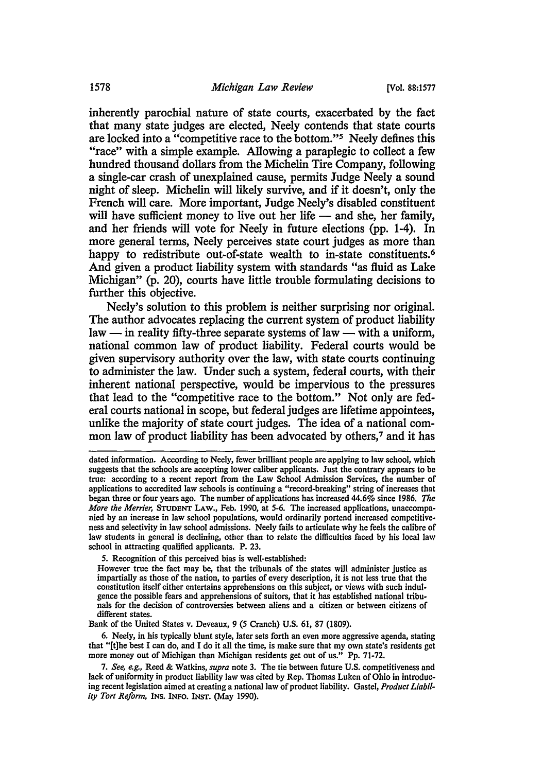inherently parochial nature of state courts, exacerbated by the fact that many state judges are elected, Neely contends that state courts are locked into a "competitive race to the bottom."5 Neely defines this "race" with a simple example. Allowing a paraplegic to collect a few hundred thousand dollars from the Michelin Tire Company, following a single-car crash of unexplained cause, permits Judge Neely a sound night of sleep. Michelin will likely survive, and if it doesn't, only the French will care. More important, Judge Neely's disabled constituent will have sufficient money to live out her life  $-$  and she, her family, and her friends will vote for Neely in future elections (pp. 1-4). In more general terms, Neely perceives state court judges as more than happy to redistribute out-of-state wealth to in-state constituents.<sup>6</sup> And given a product liability system with standards "as fluid as Lake Michigan" (p. 20), courts have little trouble formulating decisions to further this objective.

Neely's solution to this problem is neither surprising nor original. The author advocates replacing the current system of product liability  $law - in reality$  fifty-three separate systems of law  $-$  with a uniform, national common law of product liability. Federal courts would be given supervisory authority over the law, with state courts continuing to administer the law. Under such a system, federal courts, with their inherent national perspective, would be impervious to the pressures that lead to the "competitive race to the bottom." Not only are federal courts national in scope, but federal judges are lifetime appointees, unlike the majority of state court judges. The idea of a national common law of product liability has been advocated by others,<sup>7</sup> and it has

5. Recognition of this perceived bias is well-established:

However true the fact may be, that the tribunals of the states will administer justice as impartially as those of the nation, to parties of every description, it is not less true that the constitution itself either entertains apprehensions on this subject, or views with such indulgence the possible fears and apprehensions of suitors, that it has established national tribunals for the decision of controversies between aliens and a citizen or between citizens of different states.

Bank of the United States v. Deveaux, 9 (5 Cranch) U.S. 61, 87 (1809).

6. Neely, in his typically blunt style, later sets forth an even more aggressive agenda, stating that "(t]he best I can do, and I do it all the time, is make sure that my own state's residents get more money out of Michigan than Michigan residents get out of us." Pp. 71-72.

7. *See, e.g.,* Reed & Watkins, *supra* note 3. The tie between future U.S. competitiveness and lack of uniformity in product liability law was cited by Rep. Thomas Luken of Ohio in introducing recent legislation aimed at creating a national law of product liability. Gastel, *Product Liability Tort Reform,* INS. INFO. INST. (May 1990).

dated information. According to Neely, fewer brilliant people are applying to law school, which suggests that the schools are accepting lower caliber applicants. Just the contrary appears to be true: according to a recent report from the Law School Admission Services, the number of applications to accredited law schools is continuing a "record-breaking" string of increases that began three or four years ago. The number of applications has increased 44.6% since 1986. *The More the Merrier,* STUDENT LAW., Feb. 1990, at 5-6. The increased applications, unaccompanied by an increase in law school populations, would ordinarily portend increased competitiveness and selectivity in law school admissions. Neely fails to articulate why he feels the calibre of law students in general is declining, other than to relate the difficulties faced by his local law school in attracting qualified applicants. P. 23.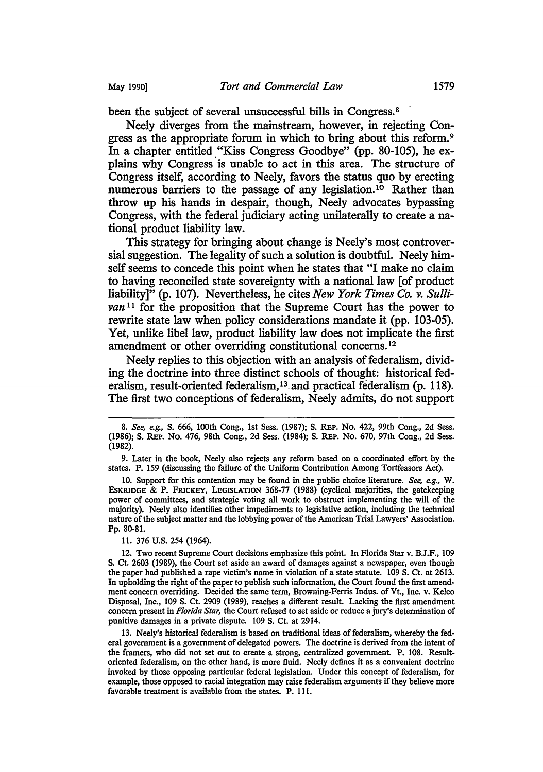been the subject of several unsuccessful bills in Congress.<sup>8</sup>

Neely diverges from the mainstream, however, in rejecting Congress as the appropriate forum in which to bring about this reform.<sup>9</sup> In a chapter entitled "Kiss Congress Goodbye" (pp. 80-105), he explains why Congress is unable to act in this area. The structure of Congress itself, according to Neely, favors the status quo by erecting numerous barriers to the passage of any legislation.<sup>10</sup> Rather than throw up his hands in despair, though, Neely advocates bypassing Congress, with the federal judiciary acting unilaterally to create a national product liability law.

This strategy for bringing about change is Neely's most controversial suggestion. The legality of such a solution is doubtful. Neely himself seems to concede this point when he states that "I make no claim to having reconciled state sovereignty with a national law [of product liability<sup>*y*</sup> (p. 107). Nevertheless, he cites *New York Times Co. v. Sullivan*<sup>11</sup> for the proposition that the Supreme Court has the power to rewrite state law when policy considerations mandate it (pp. 103-05). Yet, unlike libel law, product liability law does not implicate the first amendment or other overriding constitutional concems. <sup>12</sup>

Neely replies to this objection with an analysis of federalism, dividing the doctrine into three distinct schools of thought: historical federalism, result-oriented federalism,<sup>13</sup> and practical federalism (p. 118). The first two conceptions of federalism, Neely admits, do not support

10. Support for this contention may be found in the public choice literature. *See, e.g.,* W. EsKRIDGE & P. FRICKEY, LEGISLATION 368-77 (1988) (cyclical majorities, the gatekeeping power of committees, and strategic voting all work to obstruct implementing the will of the majority). Neely also identifies other impediments to legislative action, including the technical nature of the subject matter and the lobbying power of the American Trial Lawyers' Association. Pp. 80-81.

11. 376 U.S. 254 (1964).

12. Two recent Supreme Court decisions emphasize this point. In Florida Star v. B.J.F., 109 S. Ct. 2603 (1989), the Court set aside an award of damages against a newspaper, even though the paper had published a rape victim's name in violation of a state statute. 109 S. Ct. at 2613. In upholding the right of the paper to publish such information, the Court found the first amendment concern overriding. Decided the same term, Browning-Ferris Indus. of Vt., Inc. v. Kelco Disposal, Inc., 109 S. Ct. 2909 (1989), reaches a different result. Lacking the first amendment concern present in *Florida Star,* the Court refused to set aside or reduce a jury's determination of punitive damages in a private dispute. 109 S. Ct. at 2914.

13. Neely's historical federalism is based on traditional ideas of federalism, whereby the federal government is a government of delegated powers. The doctrine is derived from the intent of the framers, who did not set out to create a strong, centralized government. P. 108. Resultoriented federalism, on the other hand, is more fluid. Neely defines it as a convenient doctrine invoked by those opposing particular federal legislation. Under this concept of federalism, for example, those opposed to racial integration may raise federalism arguments if they believe more favorable treatment is available from the states. P. 111.

<sup>8.</sup> *See, e.g.,* S. 666, lOOth Cong., 1st Sess. (1987); S. REP. No. 422, 99th Cong., 2d Sess. (1986); S. REP. No. 476, 98th Cong., 2d Sess. (1984); S. REP. No. 670, 97th Cong., 2d Sess. (1982).

<sup>9.</sup> Later in the book, Neely also rejects any reform based on a coordinated effort by the states. P. 159 (discussing the failure of the Uniform Contribution Among Tortfeasors Act).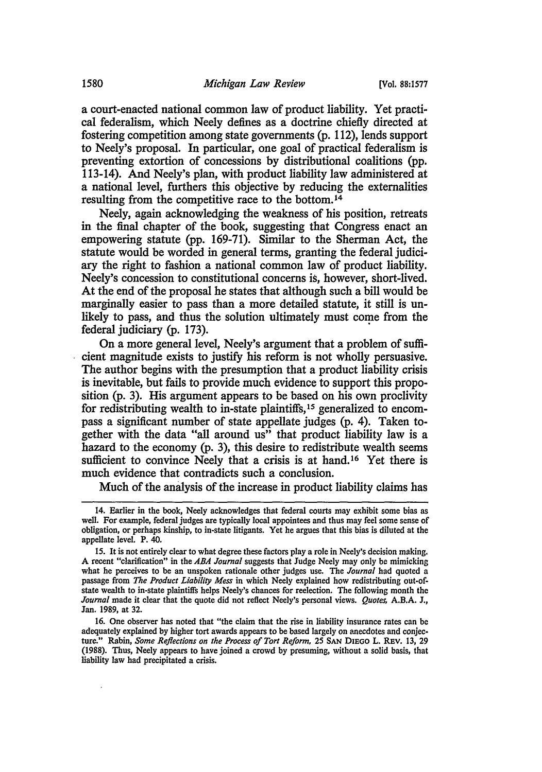a court-enacted national common law of product liability. Yet practical federalism, which Neely defines as a doctrine chiefly directed at fostering competition among state governments (p. 112), lends support to Neely's proposal. In particular, one goal of practical federalism is preventing extortion of concessions by distributional coalitions (pp. 113-14). And Neely's plan, with product liability law administered at a national level, furthers this objective by reducing the externalities resulting from the competitive race to the bottom. <sup>14</sup>

Neely, again acknowledging the weakness of his position, retreats in the final chapter of the book, suggesting that Congress enact an empowering statute (pp. 169-71). Similar to the Sherman Act, the statute would be worded in general terms, granting the federal judiciary the right to fashion a national common law of product liability. Neely's concession to constitutional concerns is, however, short-lived. At the end of the proposal he states that although such a bill would be marginally easier to pass than a more detailed statute, it still is unlikely to pass, and thus the solution ultimately must come from the federal judiciary (p. 173).

On a more general level, Neely's argument that a problem of sufficient magnitude exists to justify his reform is not wholly persuasive. The author begins with the presumption that a product liability crisis is inevitable, but fails to provide much evidence to support this proposition (p. 3). His argument appears to be based on his own proclivity for redistributing wealth to in-state plaintiffs, 15 generalized to encompass a significant number of state appellate judges (p. 4). Taken together with the data "all around us" that product liability law is a hazard to the economy (p. 3), this desire to redistribute wealth seems sufficient to convince Neely that a crisis is at hand.<sup>16</sup> Yet there is much evidence that contradicts such a conclusion.

Much of the analysis of the increase in product liability claims has

<sup>14.</sup> Earlier in the book, Neely acknowledges that federal courts may exhibit some bias as well. For example, federal judges are typically local appointees and thus may feel some sense of obligation, or perhaps kinship, to in-state litigants. Yet he argues that this bias is diluted at the appellate level. P. 40.

<sup>15.</sup> It is not entirely clear to what degree these factors play a role in Neely's decision making. A recent "clarification" in the *ABA Journal* suggests that Judge Neely may only be mimicking what he perceives to be an unspoken rationale other judges use. The *Journal* had quoted a passage from *The Product Liability Mess* in which Neely explained how redistributing out-ofstate wealth to in-state plaintiffs helps Neely's chances for reelection. The following month the *Journal* made it clear that the quote did not reflect Neely's personal views. *Quotes,* A.B.A. J., Jan. 1989, at 32.

<sup>16.</sup> One observer has noted that "the claim that the rise in liability insurance rates can be adequately explained by higher tort awards appears to be based largely on anecdotes and conjecture." Rabin, *Some Reflections on the Process of Tort Reform,* 25 SAN DIEGO L. REV. 13, 29 (1988). Thus, Neely appears to have joined a crowd by presuming, without a solid basis, that liability law had precipitated a crisis.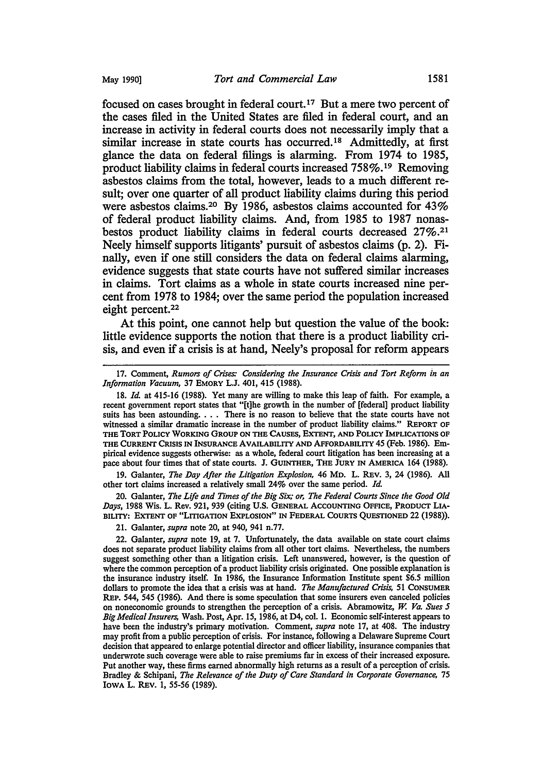focused on cases brought in federal court.17 But a mere two percent of the cases filed in the United States are filed in federal court, and an increase in activity in federal courts does not necessarily imply that a similar increase in state courts has occurred.<sup>18</sup> Admittedly, at first glance the data on federal filings is alarming. From 1974 to 1985, product liability claims in federal courts increased 758%. 19 Removing asbestos claims from the total, however, leads to a much different result; over one quarter of all product liability claims during this period were asbestos claims.20 By 1986, asbestos claims accounted for 43% of federal product liability claims. And, from 1985 to 1987 nonasbestos product liability claims in federal courts decreased 27%.21 Neely himself supports litigants' pursuit of asbestos claims (p. 2). Finally, even if one still considers the data on federal claims alarming, evidence suggests that state courts have not suffered similar increases in claims. Tort claims as a whole in state courts increased nine percent from 1978 to 1984; over the same period the population increased eight percent.<sup>22</sup>

At this point, one cannot help but question the value of the book: little evidence supports the notion that there is a product liability crisis, and even if a crisis is at hand, Neely's proposal for reform appears

19. Galanter, *The Day After the Litigation Explosion,* 46 MD. L. REV. 3, 24 (1986). All other tort claims increased a relatively small 24% over the same period. *Id.* 

20. Galanter, *The Life and Times of the Big Six; or, The Federal Courts Since the Good Old Days,* 1988 Wis. L. Rev. 921, 939 (citing U.S. GENERAL ACCOUNTING OFFICE, PRODUCT LIA-BILITY: EXTENT OF "LITIGATION EXPLOSION" IN FEDERAL COURTS QUESTIONED 22 (1988)).

21. Galanter, *supra* note 20, at 940, 941 n.77.

<sup>17.</sup> Comment, *Rumors of Crises: Considering the Insurance Crisis and Tort Reform in an Information Vacuum,* 37 EMORY L.J. 401, 415 (1988).

<sup>18.</sup> *Id.* at 415-16 (1988). Yet many are willing to make this leap of faith. For example, a recent government report states that "[t]he growth in the number of [federal] product liability suits has been astounding. . . . There is no reason to believe that the state courts have not witnessed a similar dramatic increase in the number of product liability claims." REPORT OF THE TORT POLICY WORKING GROUP ON THE CAUSES, EXTENT, AND POLICY IMPLICATIONS OF THE CURRENT CRISIS IN INSURANCE AVAILABILITY AND AFFORDABILITY 45 (Feb. 1986). Empirical evidence suggests otherwise: as a whole, federal court litigation has been increasing at a pace about four times that of state courts. J. GUINTHER, THE JURY IN AMERICA 164 (1988).

<sup>22.</sup> Galanter, *supra* note 19, at 7. Unfortunately, the data available on state court claims does not separate product liability claims from all other tort claims. Nevertheless, the numbers suggest something other than a litigation crisis. Left unanswered, however, is the question of where the common perception of a product liability crisis originated. One possible explanation is the insurance industry itself. In 1986, the Insurance Information Institute spent \$6.5 million dollars to promote the idea that a crisis was at hand. *The Manufactured Crisis,* 51 CONSUMER REP. 544, 545 (1986). And there is some speculation that some insurers even canceled policies on noneconomic grounds to strengthen the perception of a crisis. Abramowitz, *W. Va. Sues 5 Big Medical Insurers,* Wash. Post, Apr. 15, 1986, at D4, col. 1. Economic self-interest appears to have been the industry's primary motivation. Comment, *supra* note 17, at 408. The industry may profit from a public perception of crisis. For instance, following a Delaware Supreme Court decision that appeared to enlarge potential director and officer liability, insurance companies that underwrote such coverage were able to raise premiums far in excess of their increased exposure. Put another way, these firms earned abnormally high returns as a result of a perception of crisis. Bradley & Schipani, *The Relevance of the Duty of Care Standard in Corporate Governance,* 75 IOWA L. REV. 1, 55-56 (1989).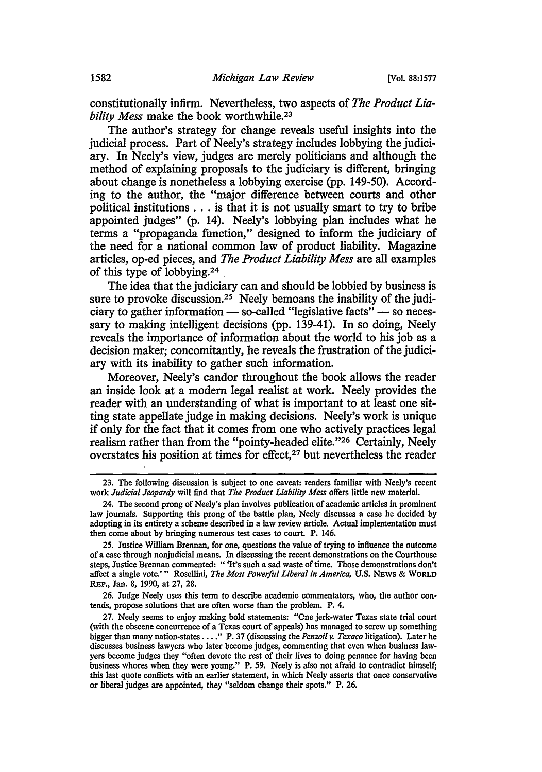constitutionally infirm. Nevertheless, two aspects of *The Product Liability Mess* make the book worthwhile.23

The author's strategy for change reveals useful insights into the judicial process. Part of Neely's strategy includes lobbying the judiciary. In Neely's view, judges are merely politicians and although the method of explaining proposals to the judiciary is different, bringing about change is nonetheless a lobbying exercise (pp. 149-50). According to the author, the "major difference between courts and other political institutions . . . is that it is not usually smart to try to bribe appointed judges" (p. 14). Neely's lobbying plan includes what he terms a "propaganda function," designed to inform the judiciary of the need for a national common law of product liability. Magazine articles, op-ed pieces, and *The Product Liability Mess* are all examples of this type of lobbying.24 .

The idea that the judiciary can and should be lobbied by business is sure to provoke discussion.<sup>25</sup> Neely bemoans the inability of the judiciary to gather information  $-$  so-called "legislative facts"  $-$  so necessary to making intelligent decisions (pp. 139-41). In so doing, Neely reveals the importance of information about the world to his job as a decision maker; concomitantly, he reveals the frustration of the judiciary with its inability to gather such information.

Moreover, Neely's candor throughout the book allows the reader an inside look at a modern legal realist at work. Neely provides the reader with an understanding of what is important to at least one sitting state appellate judge in making decisions. Neely's work is unique if only for the fact that it comes from one who actively practices legal realism rather than from the "pointy-headed elite."26 Certainly, Neely overstates his position at times for effect,<sup>27</sup> but nevertheless the reader

26. Judge Neely uses this term to describe academic commentators, who, the author con· tends, propose solutions that are often worse than the problem. P. 4.

<sup>23.</sup> The following discussion is subject to one caveat: readers familiar with Neely's recent work *Judicial Jeopardy* will find that *The Product Liability Mess* offers little new material.

<sup>24.</sup> The second prong of Neely's plan involves publication of academic articles in prominent law journals. Supporting this prong of the battle plan, Neely discusses a case he decided by adopting in its entirety a scheme described in a law review article. Actual implementation must then come about by bringing numerous test cases to court. P. 146.

<sup>25.</sup> Justice William Brennan, for one, questions the value of trying to influence the outcome of a case through nonjudicial means. In discussing the recent demonstrations on the Courthouse steps, Justice Brennan commented: " 'It's such a sad waste of time. Those demonstrations don't affect a single vote.' " Rosellini, *The Most Powelful Liberal in America,* U.S. NEWS & WORLD REP., Jan. 8, 1990, at 27, 28.

<sup>27.</sup> Neely seems to enjoy making bold statements: "One jerk-water Texas state trial court (with the obscene concurrence of a Texas court of appeals) has managed to screw up something bigger than many nation-states .... " P. 37 (discussing the *Penzoil v. Texaco* litigation). Later he discusses business lawyers who later become judges, commenting that even when business law· yers become judges they "often devote the rest of their lives to doing penance for having been business whores when they were young." P. 59. Neely is also not afraid to contradict himself; this last quote conflicts with an earlier statement, in which Neely asserts that once conservative or liberal judges are appointed, they "seldom change their spots." P. 26.